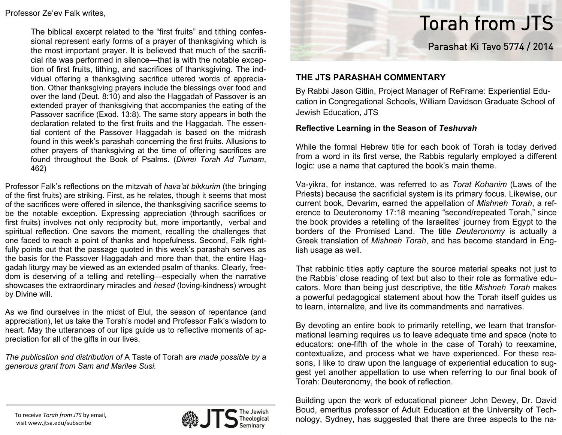### Professor Ze'ev Falk writes,

The biblical excerpt related to the "first fruits" and tithing confessional represent early forms of a prayer of thanksgiving which is the most important prayer. It is believed that much of the sacrificial rite was performed in silence—that is with the notable exception of first fruits, tithing, and sacrifices of thanksgiving. The indvidual offering a thanksgiving sacrifice uttered words of appreciation. Other thanksgiving prayers include the blessings over food and over the land (Deut. 8:10) and also the Haggadah of Passover is an extended prayer of thanksgiving that accompanies the eating of the Passover sacrifice (Exod. 13:8). The same story appears in both the declaration related to the first fruits and the Haggadah. The essential content of the Passover Haggadah is based on the midrash found in this week's parashah concerning the first fruits. Allusions to other prayers of thanksgiving at the time of offering sacrifices are found throughout the Book of Psalms. (*Divrei Torah Ad Tumam*, 462)

Professor Falk's reflections on the mitzvah of *hava'at bikkurim* (the bringing of the first fruits) are striking. First, as he relates, though it seems that most of the sacrifices were offered in silence, the thanksgiving sacrifice seems to be the notable exception. Expressing appreciation (through sacrifices or first fruits) involves not only reciprocity but, more importantly, verbal and spiritual reflection. One savors the moment, recalling the challenges that one faced to reach a point of thanks and hopefulness. Second, Falk rightfully points out that the passage quoted in this week's parashah serves as the basis for the Passover Haggadah and more than that, the entire Haggadah liturgy may be viewed as an extended psalm of thanks. Clearly, freedom is deserving of a telling and retelling—especially when the narrative showcases the extraordinary miracles and *hesed* (loving-kindness) wrought by Divine will.

As we find ourselves in the midst of Elul, the season of repentance (and appreciation), let us take the Torah's model and Professor Falk's wisdom to heart. May the utterances of our lips guide us to reflective moments of appreciation for all of the gifts in our lives.

*The publication and distribution of* A Taste of Torah *are made possible by a generous grant from Sam and Marilee Susi.*



# Torah from JTS

Parashat Ki Tavo 5774 / 2014

## **THE JTS PARASHAH COMMENTARY**

By Rabbi Jason Gitlin, Project Manager of ReFrame: Experiential Education in Congregational Schools, William Davidson Graduate School of Jewish Education, JTS

### **Reflective Learning in the Season of** *Teshuvah*

While the formal Hebrew title for each book of Torah is today derived from a word in its first verse, the Rabbis regularly employed a different logic: use a name that captured the book's main theme.

Va-yikra, for instance, was referred to as *Torat Kohanim* (Laws of the Priests) because the sacrificial system is its primary focus. Likewise, our current book, Devarim, earned the appellation of *Mishneh Torah*, a reference to Deuteronomy 17:18 meaning "second/repeated Torah," since the book provides a retelling of the Israelites' journey from Egypt to the borders of the Promised Land. The title *Deuteronomy* is actually a Greek translation of *Mishneh Torah*, and has become standard in English usage as well.

That rabbinic titles aptly capture the source material speaks not just to the Rabbis' close reading of text but also to their role as formative educators. More than being just descriptive, the title *Mishneh Torah* makes a powerful pedagogical statement about how the Torah itself guides us to learn, internalize, and live its commandments and narratives.

By devoting an entire book to primarily retelling, we learn that transformational learning requires us to leave adequate time and space (note to educators: one-fifth of the whole in the case of Torah) to reexamine, contextualize, and process what we have experienced. For these reasons, I like to draw upon the language of experiential education to suggest yet another appellation to use when referring to our final book of Torah: Deuteronomy, the book of reflection.

Building upon the work of educational pioneer John Dewey, Dr. David Boud, emeritus professor of Adult Education at the University of Technology, Sydney, has suggested that there are three aspects to the na-